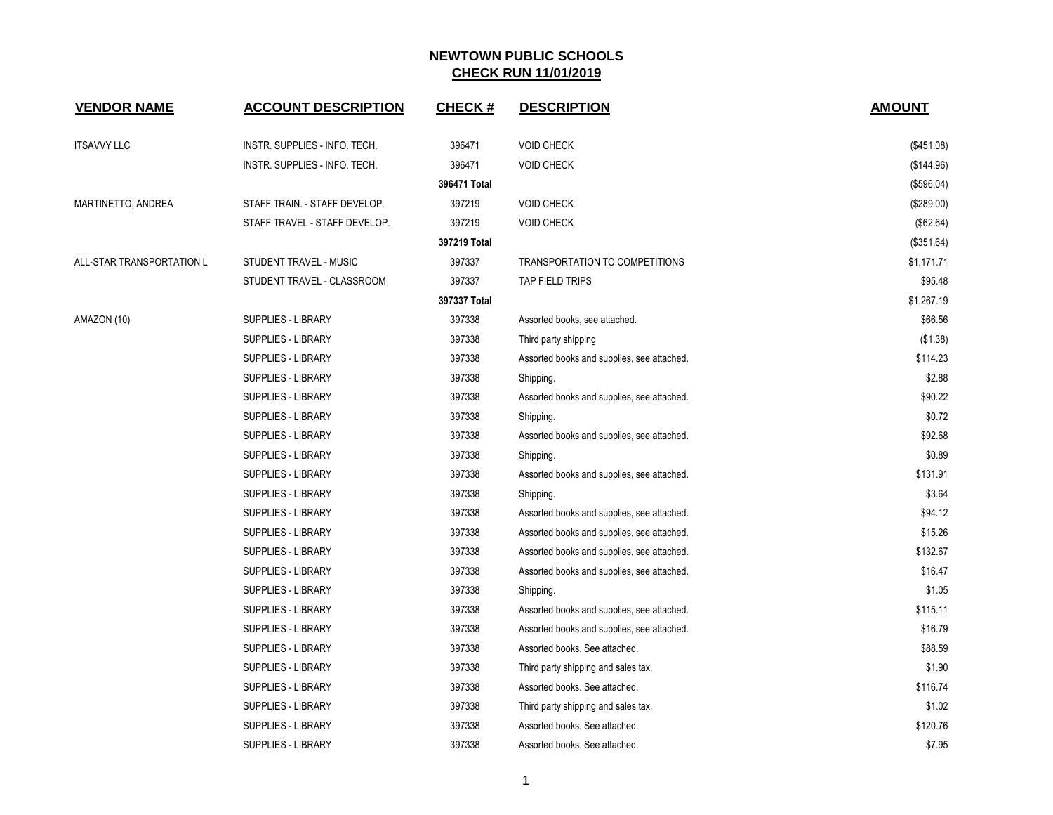| <b>VENDOR NAME</b>        | <b>ACCOUNT DESCRIPTION</b>    | <b>CHECK#</b> | <b>DESCRIPTION</b>                         | <b>AMOUNT</b> |
|---------------------------|-------------------------------|---------------|--------------------------------------------|---------------|
| <b>ITSAVVY LLC</b>        | INSTR. SUPPLIES - INFO. TECH. | 396471        | <b>VOID CHECK</b>                          | (\$451.08)    |
|                           | INSTR. SUPPLIES - INFO. TECH. | 396471        | <b>VOID CHECK</b>                          | (\$144.96)    |
|                           |                               | 396471 Total  |                                            | (\$596.04)    |
| MARTINETTO, ANDREA        | STAFF TRAIN. - STAFF DEVELOP. | 397219        | <b>VOID CHECK</b>                          | (\$289.00)    |
|                           | STAFF TRAVEL - STAFF DEVELOP. | 397219        | <b>VOID CHECK</b>                          | (\$62.64)     |
|                           |                               | 397219 Total  |                                            | (\$351.64)    |
| ALL-STAR TRANSPORTATION L | STUDENT TRAVEL - MUSIC        | 397337        | TRANSPORTATION TO COMPETITIONS             | \$1,171.71    |
|                           | STUDENT TRAVEL - CLASSROOM    | 397337        | TAP FIELD TRIPS                            | \$95.48       |
|                           |                               | 397337 Total  |                                            | \$1,267.19    |
| AMAZON (10)               | SUPPLIES - LIBRARY            | 397338        | Assorted books, see attached.              | \$66.56       |
|                           | SUPPLIES - LIBRARY            | 397338        | Third party shipping                       | (\$1.38)      |
|                           | <b>SUPPLIES - LIBRARY</b>     | 397338        | Assorted books and supplies, see attached. | \$114.23      |
|                           | SUPPLIES - LIBRARY            | 397338        | Shipping.                                  | \$2.88        |
|                           | SUPPLIES - LIBRARY            | 397338        | Assorted books and supplies, see attached. | \$90.22       |
|                           | <b>SUPPLIES - LIBRARY</b>     | 397338        | Shipping.                                  | \$0.72        |
|                           | <b>SUPPLIES - LIBRARY</b>     | 397338        | Assorted books and supplies, see attached. | \$92.68       |
|                           | SUPPLIES - LIBRARY            | 397338        | Shipping.                                  | \$0.89        |
|                           | SUPPLIES - LIBRARY            | 397338        | Assorted books and supplies, see attached. | \$131.91      |
|                           | <b>SUPPLIES - LIBRARY</b>     | 397338        | Shipping.                                  | \$3.64        |
|                           | SUPPLIES - LIBRARY            | 397338        | Assorted books and supplies, see attached. | \$94.12       |
|                           | <b>SUPPLIES - LIBRARY</b>     | 397338        | Assorted books and supplies, see attached. | \$15.26       |
|                           | SUPPLIES - LIBRARY            | 397338        | Assorted books and supplies, see attached. | \$132.67      |
|                           | SUPPLIES - LIBRARY            | 397338        | Assorted books and supplies, see attached. | \$16.47       |
|                           | <b>SUPPLIES - LIBRARY</b>     | 397338        | Shipping.                                  | \$1.05        |
|                           | SUPPLIES - LIBRARY            | 397338        | Assorted books and supplies, see attached. | \$115.11      |
|                           | SUPPLIES - LIBRARY            | 397338        | Assorted books and supplies, see attached. | \$16.79       |
|                           | <b>SUPPLIES - LIBRARY</b>     | 397338        | Assorted books. See attached.              | \$88.59       |
|                           | <b>SUPPLIES - LIBRARY</b>     | 397338        | Third party shipping and sales tax.        | \$1.90        |
|                           | SUPPLIES - LIBRARY            | 397338        | Assorted books. See attached.              | \$116.74      |
|                           | SUPPLIES - LIBRARY            | 397338        | Third party shipping and sales tax.        | \$1.02        |
|                           | <b>SUPPLIES - LIBRARY</b>     | 397338        | Assorted books. See attached.              | \$120.76      |
|                           | <b>SUPPLIES - LIBRARY</b>     | 397338        | Assorted books. See attached.              | \$7.95        |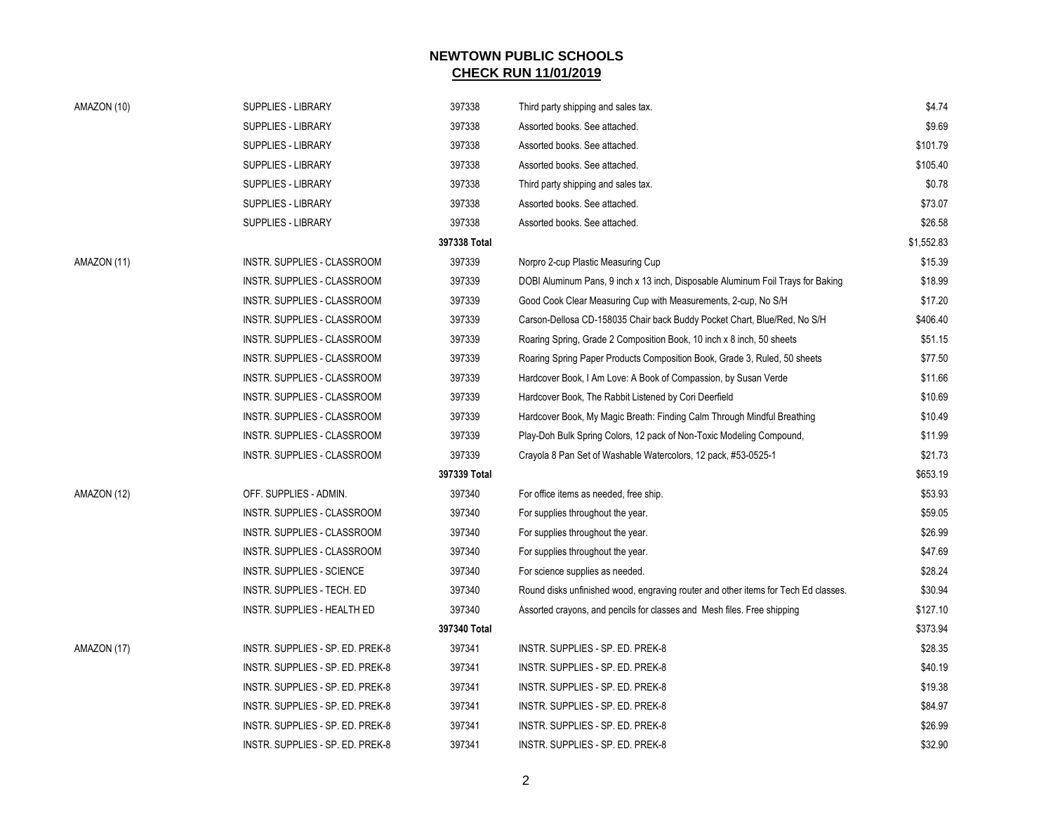| AMAZON (10) | SUPPLIES - LIBRARY                 | 397338       | Third party shipping and sales tax.                                                | \$4.74     |
|-------------|------------------------------------|--------------|------------------------------------------------------------------------------------|------------|
|             | <b>SUPPLIES - LIBRARY</b>          | 397338       | Assorted books. See attached.                                                      | \$9.69     |
|             | <b>SUPPLIES - LIBRARY</b>          | 397338       | Assorted books. See attached.                                                      | \$101.79   |
|             | <b>SUPPLIES - LIBRARY</b>          | 397338       | Assorted books. See attached.                                                      | \$105.40   |
|             | SUPPLIES - LIBRARY                 | 397338       | Third party shipping and sales tax.                                                | \$0.78     |
|             | SUPPLIES - LIBRARY                 | 397338       | Assorted books. See attached.                                                      | \$73.07    |
|             | <b>SUPPLIES - LIBRARY</b>          | 397338       | Assorted books. See attached.                                                      | \$26.58    |
|             |                                    | 397338 Total |                                                                                    | \$1,552.83 |
| AMAZON (11) | INSTR. SUPPLIES - CLASSROOM        | 397339       | Norpro 2-cup Plastic Measuring Cup                                                 | \$15.39    |
|             | INSTR. SUPPLIES - CLASSROOM        | 397339       | DOBI Aluminum Pans, 9 inch x 13 inch, Disposable Aluminum Foil Trays for Baking    | \$18.99    |
|             | INSTR. SUPPLIES - CLASSROOM        | 397339       | Good Cook Clear Measuring Cup with Measurements, 2-cup, No S/H                     | \$17.20    |
|             | INSTR. SUPPLIES - CLASSROOM        | 397339       | Carson-Dellosa CD-158035 Chair back Buddy Pocket Chart, Blue/Red, No S/H           | \$406.40   |
|             | INSTR. SUPPLIES - CLASSROOM        | 397339       | Roaring Spring, Grade 2 Composition Book, 10 inch x 8 inch, 50 sheets              | \$51.15    |
|             | INSTR. SUPPLIES - CLASSROOM        | 397339       | Roaring Spring Paper Products Composition Book, Grade 3, Ruled, 50 sheets          | \$77.50    |
|             | INSTR. SUPPLIES - CLASSROOM        | 397339       | Hardcover Book, I Am Love: A Book of Compassion, by Susan Verde                    | \$11.66    |
|             | INSTR. SUPPLIES - CLASSROOM        | 397339       | Hardcover Book, The Rabbit Listened by Cori Deerfield                              | \$10.69    |
|             | INSTR. SUPPLIES - CLASSROOM        | 397339       | Hardcover Book, My Magic Breath: Finding Calm Through Mindful Breathing            | \$10.49    |
|             | INSTR. SUPPLIES - CLASSROOM        | 397339       | Play-Doh Bulk Spring Colors, 12 pack of Non-Toxic Modeling Compound,               | \$11.99    |
|             | INSTR. SUPPLIES - CLASSROOM        | 397339       | Crayola 8 Pan Set of Washable Watercolors, 12 pack, #53-0525-1                     | \$21.73    |
|             |                                    | 397339 Total |                                                                                    | \$653.19   |
| AMAZON (12) | OFF. SUPPLIES - ADMIN.             | 397340       | For office items as needed, free ship.                                             | \$53.93    |
|             | INSTR. SUPPLIES - CLASSROOM        | 397340       | For supplies throughout the year.                                                  | \$59.05    |
|             | INSTR. SUPPLIES - CLASSROOM        | 397340       | For supplies throughout the year.                                                  | \$26.99    |
|             | <b>INSTR. SUPPLIES - CLASSROOM</b> | 397340       | For supplies throughout the year.                                                  | \$47.69    |
|             | INSTR. SUPPLIES - SCIENCE          | 397340       | For science supplies as needed.                                                    | \$28.24    |
|             | INSTR. SUPPLIES - TECH. ED         | 397340       | Round disks unfinished wood, engraving router and other items for Tech Ed classes. | \$30.94    |
|             | INSTR. SUPPLIES - HEALTH ED        | 397340       | Assorted crayons, and pencils for classes and Mesh files. Free shipping            | \$127.10   |
|             |                                    | 397340 Total |                                                                                    | \$373.94   |
| AMAZON (17) | INSTR. SUPPLIES - SP. ED. PREK-8   | 397341       | INSTR. SUPPLIES - SP. ED. PREK-8                                                   | \$28.35    |
|             | INSTR. SUPPLIES - SP. ED. PREK-8   | 397341       | INSTR. SUPPLIES - SP. ED. PREK-8                                                   | \$40.19    |
|             | INSTR. SUPPLIES - SP. ED. PREK-8   | 397341       | INSTR. SUPPLIES - SP. ED. PREK-8                                                   | \$19.38    |
|             | INSTR. SUPPLIES - SP. ED. PREK-8   | 397341       | INSTR. SUPPLIES - SP. ED. PREK-8                                                   | \$84.97    |
|             | INSTR. SUPPLIES - SP. ED. PREK-8   | 397341       | INSTR. SUPPLIES - SP. ED. PREK-8                                                   | \$26.99    |
|             | INSTR. SUPPLIES - SP. ED. PREK-8   | 397341       | INSTR. SUPPLIES - SP. ED. PREK-8                                                   | \$32.90    |
|             |                                    |              |                                                                                    |            |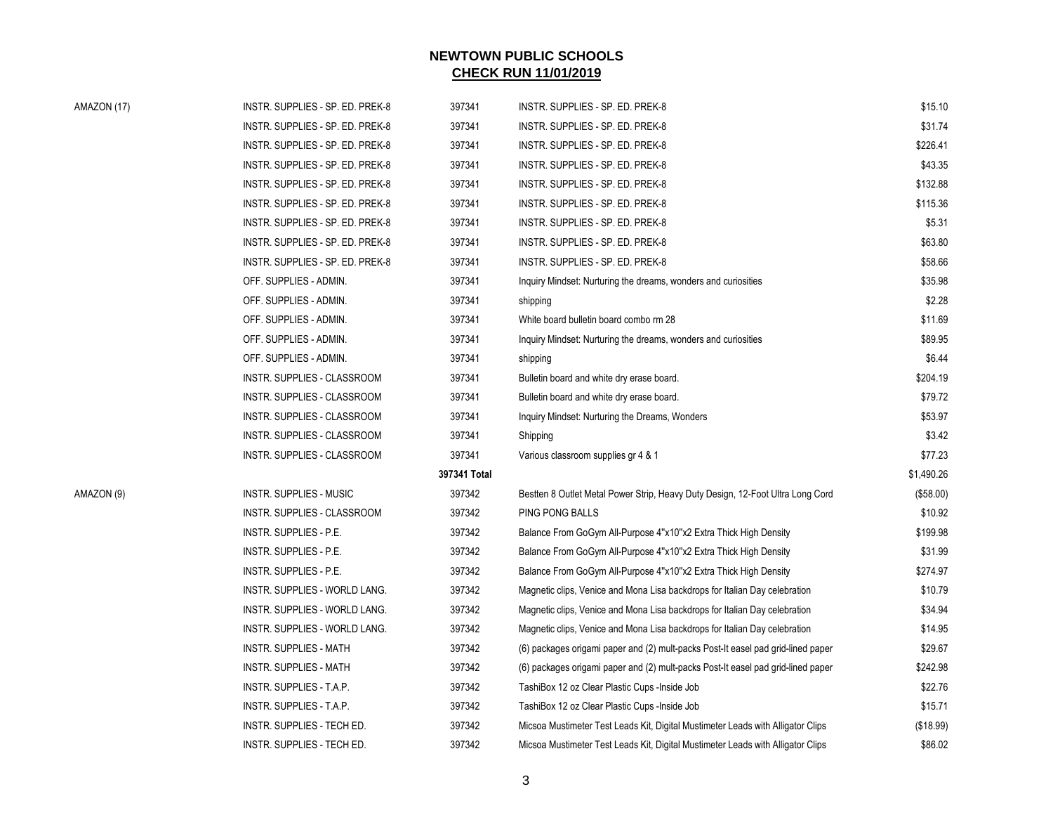| AMAZON (17) |  |  |
|-------------|--|--|
|-------------|--|--|

| AMAZON (17) | INSTR. SUPPLIES - SP. ED. PREK-8 | 397341       | INSTR. SUPPLIES - SP. ED. PREK-8                                                 | \$15.10    |
|-------------|----------------------------------|--------------|----------------------------------------------------------------------------------|------------|
|             | INSTR. SUPPLIES - SP. ED. PREK-8 | 397341       | INSTR. SUPPLIES - SP. ED. PREK-8                                                 | \$31.74    |
|             | INSTR. SUPPLIES - SP. ED. PREK-8 | 397341       | INSTR. SUPPLIES - SP. ED. PREK-8                                                 | \$226.41   |
|             | INSTR. SUPPLIES - SP. ED. PREK-8 | 397341       | INSTR. SUPPLIES - SP. ED. PREK-8                                                 | \$43.35    |
|             | INSTR. SUPPLIES - SP. ED. PREK-8 | 397341       | INSTR. SUPPLIES - SP. ED. PREK-8                                                 | \$132.88   |
|             | INSTR. SUPPLIES - SP. ED. PREK-8 | 397341       | INSTR. SUPPLIES - SP. ED. PREK-8                                                 | \$115.36   |
|             | INSTR. SUPPLIES - SP. ED. PREK-8 | 397341       | INSTR. SUPPLIES - SP. ED. PREK-8                                                 | \$5.31     |
|             | INSTR. SUPPLIES - SP. ED. PREK-8 | 397341       | INSTR. SUPPLIES - SP. ED. PREK-8                                                 | \$63.80    |
|             | INSTR. SUPPLIES - SP. ED. PREK-8 | 397341       | INSTR. SUPPLIES - SP. ED. PREK-8                                                 | \$58.66    |
|             | OFF. SUPPLIES - ADMIN.           | 397341       | Inquiry Mindset: Nurturing the dreams, wonders and curiosities                   | \$35.98    |
|             | OFF. SUPPLIES - ADMIN.           | 397341       | shipping                                                                         | \$2.28     |
|             | OFF. SUPPLIES - ADMIN.           | 397341       | White board bulletin board combo rm 28                                           | \$11.69    |
|             | OFF. SUPPLIES - ADMIN.           | 397341       | Inquiry Mindset: Nurturing the dreams, wonders and curiosities                   | \$89.95    |
|             | OFF. SUPPLIES - ADMIN.           | 397341       | shipping                                                                         | \$6.44     |
|             | INSTR. SUPPLIES - CLASSROOM      | 397341       | Bulletin board and white dry erase board.                                        | \$204.19   |
|             | INSTR. SUPPLIES - CLASSROOM      | 397341       | Bulletin board and white dry erase board.                                        | \$79.72    |
|             | INSTR. SUPPLIES - CLASSROOM      | 397341       | Inquiry Mindset: Nurturing the Dreams, Wonders                                   | \$53.97    |
|             | INSTR. SUPPLIES - CLASSROOM      | 397341       | Shipping                                                                         | \$3.42     |
|             | INSTR. SUPPLIES - CLASSROOM      | 397341       | Various classroom supplies gr 4 & 1                                              | \$77.23    |
|             |                                  | 397341 Total |                                                                                  | \$1,490.26 |
| AMAZON (9)  | INSTR. SUPPLIES - MUSIC          | 397342       | Bestten 8 Outlet Metal Power Strip, Heavy Duty Design, 12-Foot Ultra Long Cord   | (\$58.00)  |
|             | INSTR. SUPPLIES - CLASSROOM      | 397342       | PING PONG BALLS                                                                  | \$10.92    |
|             | INSTR. SUPPLIES - P.E.           | 397342       | Balance From GoGym All-Purpose 4"x10"x2 Extra Thick High Density                 | \$199.98   |
|             | INSTR. SUPPLIES - P.E.           | 397342       | Balance From GoGym All-Purpose 4"x10"x2 Extra Thick High Density                 | \$31.99    |
|             | INSTR. SUPPLIES - P.E.           | 397342       | Balance From GoGym All-Purpose 4"x10"x2 Extra Thick High Density                 | \$274.97   |
|             | INSTR. SUPPLIES - WORLD LANG.    | 397342       | Magnetic clips, Venice and Mona Lisa backdrops for Italian Day celebration       | \$10.79    |
|             | INSTR. SUPPLIES - WORLD LANG.    | 397342       | Magnetic clips, Venice and Mona Lisa backdrops for Italian Day celebration       | \$34.94    |
|             | INSTR. SUPPLIES - WORLD LANG.    | 397342       | Magnetic clips, Venice and Mona Lisa backdrops for Italian Day celebration       | \$14.95    |
|             | <b>INSTR. SUPPLIES - MATH</b>    | 397342       | (6) packages origami paper and (2) mult-packs Post-It easel pad grid-lined paper | \$29.67    |
|             | <b>INSTR. SUPPLIES - MATH</b>    | 397342       | (6) packages origami paper and (2) mult-packs Post-It easel pad grid-lined paper | \$242.98   |
|             | INSTR. SUPPLIES - T.A.P.         | 397342       | TashiBox 12 oz Clear Plastic Cups -Inside Job                                    | \$22.76    |
|             | INSTR. SUPPLIES - T.A.P.         | 397342       | TashiBox 12 oz Clear Plastic Cups - Inside Job                                   | \$15.71    |
|             | INSTR. SUPPLIES - TECH ED.       | 397342       | Micsoa Mustimeter Test Leads Kit, Digital Mustimeter Leads with Alligator Clips  | (\$18.99)  |
|             | INSTR. SUPPLIES - TECH ED.       | 397342       | Micsoa Mustimeter Test Leads Kit, Digital Mustimeter Leads with Alligator Clips  | \$86.02    |
|             |                                  |              |                                                                                  |            |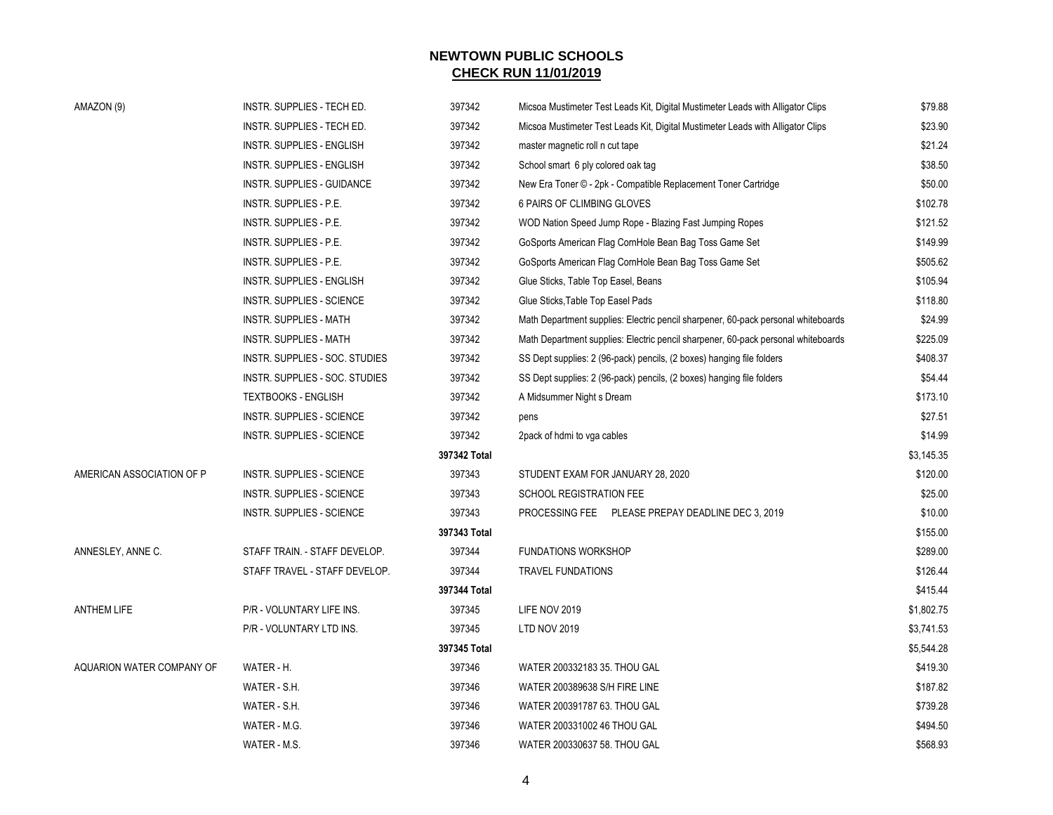| AMAZON (9)                | INSTR. SUPPLIES - TECH ED.       | 397342       | Micsoa Mustimeter Test Leads Kit, Digital Mustimeter Leads with Alligator Clips   | \$79.88    |
|---------------------------|----------------------------------|--------------|-----------------------------------------------------------------------------------|------------|
|                           | INSTR. SUPPLIES - TECH ED.       | 397342       | Micsoa Mustimeter Test Leads Kit, Digital Mustimeter Leads with Alligator Clips   | \$23.90    |
|                           | <b>INSTR. SUPPLIES - ENGLISH</b> | 397342       | master magnetic roll n cut tape                                                   | \$21.24    |
|                           | INSTR. SUPPLIES - ENGLISH        | 397342       | School smart 6 ply colored oak tag                                                | \$38.50    |
|                           | INSTR. SUPPLIES - GUIDANCE       | 397342       | New Era Toner © - 2pk - Compatible Replacement Toner Cartridge                    | \$50.00    |
|                           | INSTR. SUPPLIES - P.E.           | 397342       | 6 PAIRS OF CLIMBING GLOVES                                                        | \$102.78   |
|                           | INSTR. SUPPLIES - P.E.           | 397342       | WOD Nation Speed Jump Rope - Blazing Fast Jumping Ropes                           | \$121.52   |
|                           | INSTR. SUPPLIES - P.E.           | 397342       | GoSports American Flag CornHole Bean Bag Toss Game Set                            | \$149.99   |
|                           | INSTR. SUPPLIES - P.E.           | 397342       | GoSports American Flag CornHole Bean Bag Toss Game Set                            | \$505.62   |
|                           | INSTR. SUPPLIES - ENGLISH        | 397342       | Glue Sticks, Table Top Easel, Beans                                               | \$105.94   |
|                           | INSTR. SUPPLIES - SCIENCE        | 397342       | Glue Sticks, Table Top Easel Pads                                                 | \$118.80   |
|                           | <b>INSTR. SUPPLIES - MATH</b>    | 397342       | Math Department supplies: Electric pencil sharpener, 60-pack personal whiteboards | \$24.99    |
|                           | INSTR. SUPPLIES - MATH           | 397342       | Math Department supplies: Electric pencil sharpener, 60-pack personal whiteboards | \$225.09   |
|                           | INSTR. SUPPLIES - SOC. STUDIES   | 397342       | SS Dept supplies: 2 (96-pack) pencils, (2 boxes) hanging file folders             | \$408.37   |
|                           | INSTR. SUPPLIES - SOC. STUDIES   | 397342       | SS Dept supplies: 2 (96-pack) pencils, (2 boxes) hanging file folders             | \$54.44    |
|                           | <b>TEXTBOOKS - ENGLISH</b>       | 397342       | A Midsummer Night s Dream                                                         | \$173.10   |
|                           | INSTR. SUPPLIES - SCIENCE        | 397342       | pens                                                                              | \$27.51    |
|                           | INSTR. SUPPLIES - SCIENCE        | 397342       | 2pack of hdmi to vga cables                                                       | \$14.99    |
|                           |                                  | 397342 Total |                                                                                   | \$3,145.35 |
| AMERICAN ASSOCIATION OF P | INSTR. SUPPLIES - SCIENCE        | 397343       | STUDENT EXAM FOR JANUARY 28, 2020                                                 | \$120.00   |
|                           | INSTR. SUPPLIES - SCIENCE        | 397343       | <b>SCHOOL REGISTRATION FEE</b>                                                    | \$25.00    |
|                           | INSTR. SUPPLIES - SCIENCE        | 397343       | PROCESSING FEE PLEASE PREPAY DEADLINE DEC 3, 2019                                 | \$10.00    |
|                           |                                  | 397343 Total |                                                                                   | \$155.00   |
| ANNESLEY, ANNE C.         | STAFF TRAIN. - STAFF DEVELOP.    | 397344       | <b>FUNDATIONS WORKSHOP</b>                                                        | \$289.00   |
|                           | STAFF TRAVEL - STAFF DEVELOP.    | 397344       | <b>TRAVEL FUNDATIONS</b>                                                          | \$126.44   |
|                           |                                  | 397344 Total |                                                                                   | \$415.44   |
| <b>ANTHEM LIFE</b>        | P/R - VOLUNTARY LIFE INS.        | 397345       | LIFE NOV 2019                                                                     | \$1,802.75 |
|                           | P/R - VOLUNTARY LTD INS.         | 397345       | <b>LTD NOV 2019</b>                                                               | \$3,741.53 |
|                           |                                  | 397345 Total |                                                                                   | \$5,544.28 |
| AQUARION WATER COMPANY OF | WATER - H.                       | 397346       | WATER 200332183 35. THOU GAL                                                      | \$419.30   |
|                           | WATER - S.H.                     | 397346       | WATER 200389638 S/H FIRE LINE                                                     | \$187.82   |
|                           | WATER - S.H.                     | 397346       | WATER 200391787 63. THOU GAL                                                      | \$739.28   |
|                           | WATER - M.G.                     | 397346       | WATER 200331002 46 THOU GAL                                                       | \$494.50   |
|                           | WATER - M.S.                     | 397346       | WATER 200330637 58. THOU GAL                                                      | \$568.93   |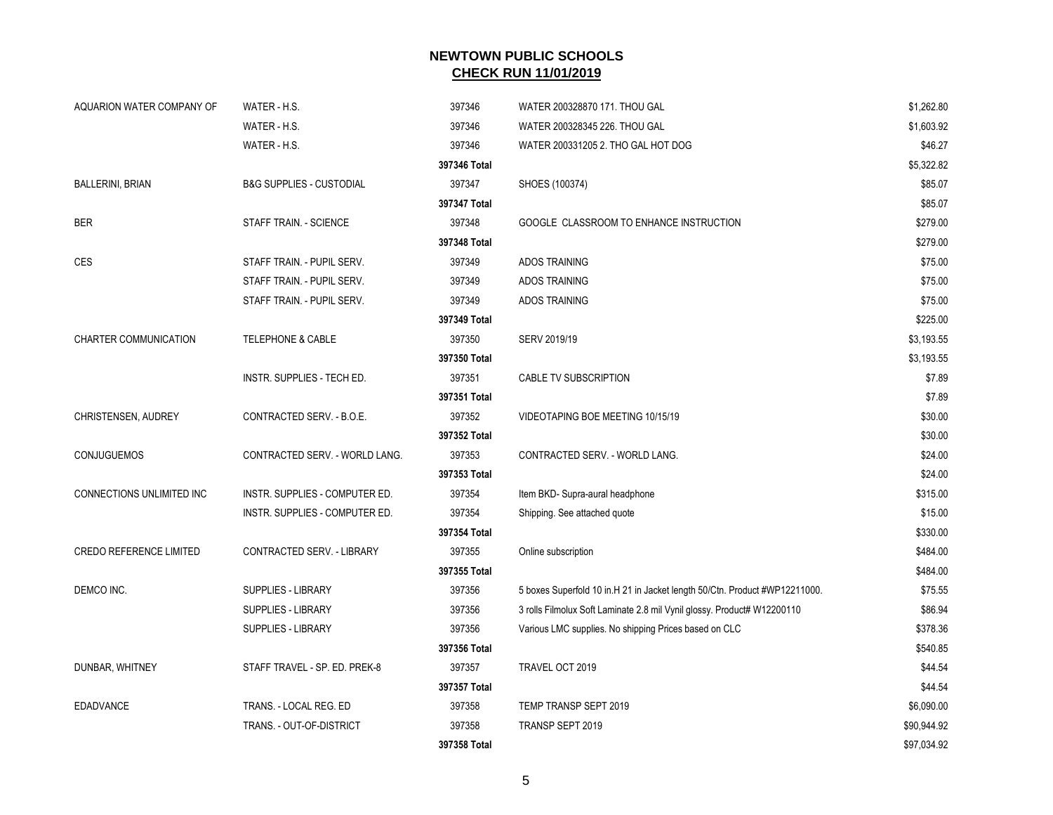| AQUARION WATER COMPANY OF      | WATER - H.S.                        | 397346       | WATER 200328870 171. THOU GAL                                               | \$1,262.80  |
|--------------------------------|-------------------------------------|--------------|-----------------------------------------------------------------------------|-------------|
|                                | WATER - H.S.                        | 397346       | WATER 200328345 226. THOU GAL                                               | \$1,603.92  |
|                                | WATER - H.S.                        | 397346       | WATER 200331205 2. THO GAL HOT DOG                                          | \$46.27     |
|                                |                                     | 397346 Total |                                                                             | \$5,322.82  |
| <b>BALLERINI, BRIAN</b>        | <b>B&amp;G SUPPLIES - CUSTODIAL</b> | 397347       | SHOES (100374)                                                              | \$85.07     |
|                                |                                     | 397347 Total |                                                                             | \$85.07     |
| <b>BER</b>                     | STAFF TRAIN. - SCIENCE              | 397348       | GOOGLE CLASSROOM TO ENHANCE INSTRUCTION                                     | \$279.00    |
|                                |                                     | 397348 Total |                                                                             | \$279.00    |
| CES                            | STAFF TRAIN. - PUPIL SERV.          | 397349       | <b>ADOS TRAINING</b>                                                        | \$75.00     |
|                                | STAFF TRAIN. - PUPIL SERV.          | 397349       | <b>ADOS TRAINING</b>                                                        | \$75.00     |
|                                | STAFF TRAIN. - PUPIL SERV.          | 397349       | ADOS TRAINING                                                               | \$75.00     |
|                                |                                     | 397349 Total |                                                                             | \$225.00    |
| <b>CHARTER COMMUNICATION</b>   | <b>TELEPHONE &amp; CABLE</b>        | 397350       | SERV 2019/19                                                                | \$3,193.55  |
|                                |                                     | 397350 Total |                                                                             | \$3,193.55  |
|                                | INSTR. SUPPLIES - TECH ED.          | 397351       | CABLE TV SUBSCRIPTION                                                       | \$7.89      |
|                                |                                     | 397351 Total |                                                                             | \$7.89      |
| CHRISTENSEN, AUDREY            | CONTRACTED SERV. - B.O.E.           | 397352       | VIDEOTAPING BOE MEETING 10/15/19                                            | \$30.00     |
|                                |                                     | 397352 Total |                                                                             | \$30.00     |
| <b>CONJUGUEMOS</b>             | CONTRACTED SERV. - WORLD LANG.      | 397353       | CONTRACTED SERV. - WORLD LANG.                                              | \$24.00     |
|                                |                                     | 397353 Total |                                                                             | \$24.00     |
| CONNECTIONS UNLIMITED INC      | INSTR. SUPPLIES - COMPUTER ED.      | 397354       | Item BKD- Supra-aural headphone                                             | \$315.00    |
|                                | INSTR. SUPPLIES - COMPUTER ED.      | 397354       | Shipping. See attached quote                                                | \$15.00     |
|                                |                                     | 397354 Total |                                                                             | \$330.00    |
| <b>CREDO REFERENCE LIMITED</b> | CONTRACTED SERV. - LIBRARY          | 397355       | Online subscription                                                         | \$484.00    |
|                                |                                     | 397355 Total |                                                                             | \$484.00    |
| DEMCO INC.                     | <b>SUPPLIES - LIBRARY</b>           | 397356       | 5 boxes Superfold 10 in. H 21 in Jacket length 50/Ctn. Product #WP12211000. | \$75.55     |
|                                | SUPPLIES - LIBRARY                  | 397356       | 3 rolls Filmolux Soft Laminate 2.8 mil Vynil glossy. Product# W12200110     | \$86.94     |
|                                | SUPPLIES - LIBRARY                  | 397356       | Various LMC supplies. No shipping Prices based on CLC                       | \$378.36    |
|                                |                                     | 397356 Total |                                                                             | \$540.85    |
| DUNBAR, WHITNEY                | STAFF TRAVEL - SP. ED. PREK-8       | 397357       | TRAVEL OCT 2019                                                             | \$44.54     |
|                                |                                     | 397357 Total |                                                                             | \$44.54     |
| <b>EDADVANCE</b>               | TRANS. - LOCAL REG. ED              | 397358       | TEMP TRANSP SEPT 2019                                                       | \$6,090.00  |
|                                | TRANS. - OUT-OF-DISTRICT            | 397358       | TRANSP SEPT 2019                                                            | \$90,944.92 |
|                                |                                     | 397358 Total |                                                                             | \$97,034.92 |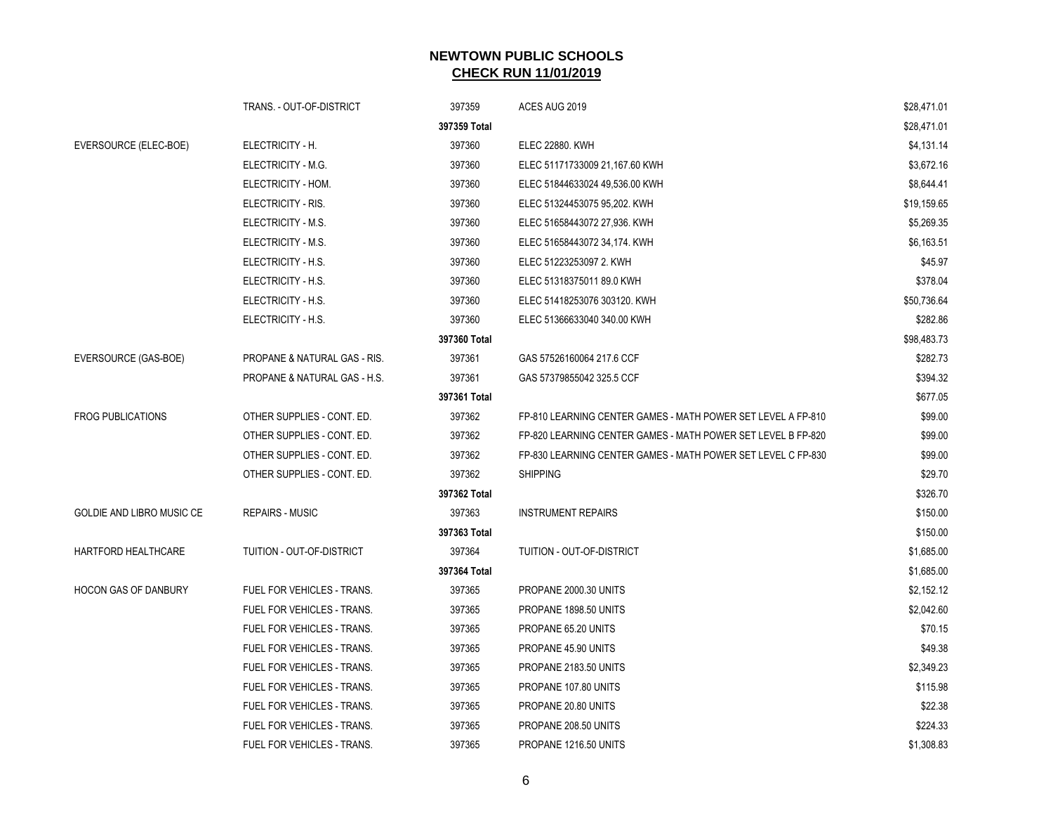|                             | TRANS. - OUT-OF-DISTRICT          | 397359       | ACES AUG 2019                                                | \$28,471.01 |
|-----------------------------|-----------------------------------|--------------|--------------------------------------------------------------|-------------|
|                             |                                   | 397359 Total |                                                              | \$28,471.01 |
| EVERSOURCE (ELEC-BOE)       | ELECTRICITY - H.                  | 397360       | <b>ELEC 22880. KWH</b>                                       | \$4,131.14  |
|                             | ELECTRICITY - M.G.                | 397360       | ELEC 51171733009 21,167.60 KWH                               | \$3,672.16  |
|                             | ELECTRICITY - HOM.                | 397360       | ELEC 51844633024 49,536.00 KWH                               | \$8,644.41  |
|                             | ELECTRICITY - RIS.                | 397360       | ELEC 51324453075 95,202. KWH                                 | \$19,159.65 |
|                             | ELECTRICITY - M.S.                | 397360       | ELEC 51658443072 27,936. KWH                                 | \$5,269.35  |
|                             | ELECTRICITY - M.S.                | 397360       | ELEC 51658443072 34,174. KWH                                 | \$6,163.51  |
|                             | ELECTRICITY - H.S.                | 397360       | ELEC 51223253097 2. KWH                                      | \$45.97     |
|                             | ELECTRICITY - H.S.                | 397360       | ELEC 51318375011 89.0 KWH                                    | \$378.04    |
|                             | ELECTRICITY - H.S.                | 397360       | ELEC 51418253076 303120. KWH                                 | \$50,736.64 |
|                             | ELECTRICITY - H.S.                | 397360       | ELEC 51366633040 340.00 KWH                                  | \$282.86    |
|                             |                                   | 397360 Total |                                                              | \$98,483.73 |
| EVERSOURCE (GAS-BOE)        | PROPANE & NATURAL GAS - RIS.      | 397361       | GAS 57526160064 217.6 CCF                                    | \$282.73    |
|                             | PROPANE & NATURAL GAS - H.S.      | 397361       | GAS 57379855042 325.5 CCF                                    | \$394.32    |
|                             |                                   | 397361 Total |                                                              | \$677.05    |
| <b>FROG PUBLICATIONS</b>    | OTHER SUPPLIES - CONT. ED.        | 397362       | FP-810 LEARNING CENTER GAMES - MATH POWER SET LEVEL A FP-810 | \$99.00     |
|                             | OTHER SUPPLIES - CONT. ED.        | 397362       | FP-820 LEARNING CENTER GAMES - MATH POWER SET LEVEL B FP-820 | \$99.00     |
|                             | OTHER SUPPLIES - CONT. ED.        | 397362       | FP-830 LEARNING CENTER GAMES - MATH POWER SET LEVEL C FP-830 | \$99.00     |
|                             | OTHER SUPPLIES - CONT. ED.        | 397362       | <b>SHIPPING</b>                                              | \$29.70     |
|                             |                                   | 397362 Total |                                                              | \$326.70    |
| GOLDIE AND LIBRO MUSIC CE   | <b>REPAIRS - MUSIC</b>            | 397363       | <b>INSTRUMENT REPAIRS</b>                                    | \$150.00    |
|                             |                                   | 397363 Total |                                                              | \$150.00    |
| HARTFORD HEALTHCARE         | TUITION - OUT-OF-DISTRICT         | 397364       | TUITION - OUT-OF-DISTRICT                                    | \$1,685.00  |
|                             |                                   | 397364 Total |                                                              | \$1,685.00  |
| <b>HOCON GAS OF DANBURY</b> | <b>FUEL FOR VEHICLES - TRANS.</b> | 397365       | PROPANE 2000.30 UNITS                                        | \$2,152.12  |
|                             | FUEL FOR VEHICLES - TRANS.        | 397365       | PROPANE 1898.50 UNITS                                        | \$2,042.60  |
|                             | FUEL FOR VEHICLES - TRANS.        | 397365       | PROPANE 65.20 UNITS                                          | \$70.15     |
|                             | FUEL FOR VEHICLES - TRANS.        | 397365       | PROPANE 45.90 UNITS                                          | \$49.38     |
|                             | FUEL FOR VEHICLES - TRANS.        | 397365       | PROPANE 2183.50 UNITS                                        | \$2,349.23  |
|                             | FUEL FOR VEHICLES - TRANS.        | 397365       | PROPANE 107.80 UNITS                                         | \$115.98    |
|                             | FUEL FOR VEHICLES - TRANS.        | 397365       | PROPANE 20.80 UNITS                                          | \$22.38     |
|                             | FUEL FOR VEHICLES - TRANS.        | 397365       | PROPANE 208.50 UNITS                                         | \$224.33    |
|                             | FUEL FOR VEHICLES - TRANS.        | 397365       | PROPANE 1216.50 UNITS                                        | \$1,308.83  |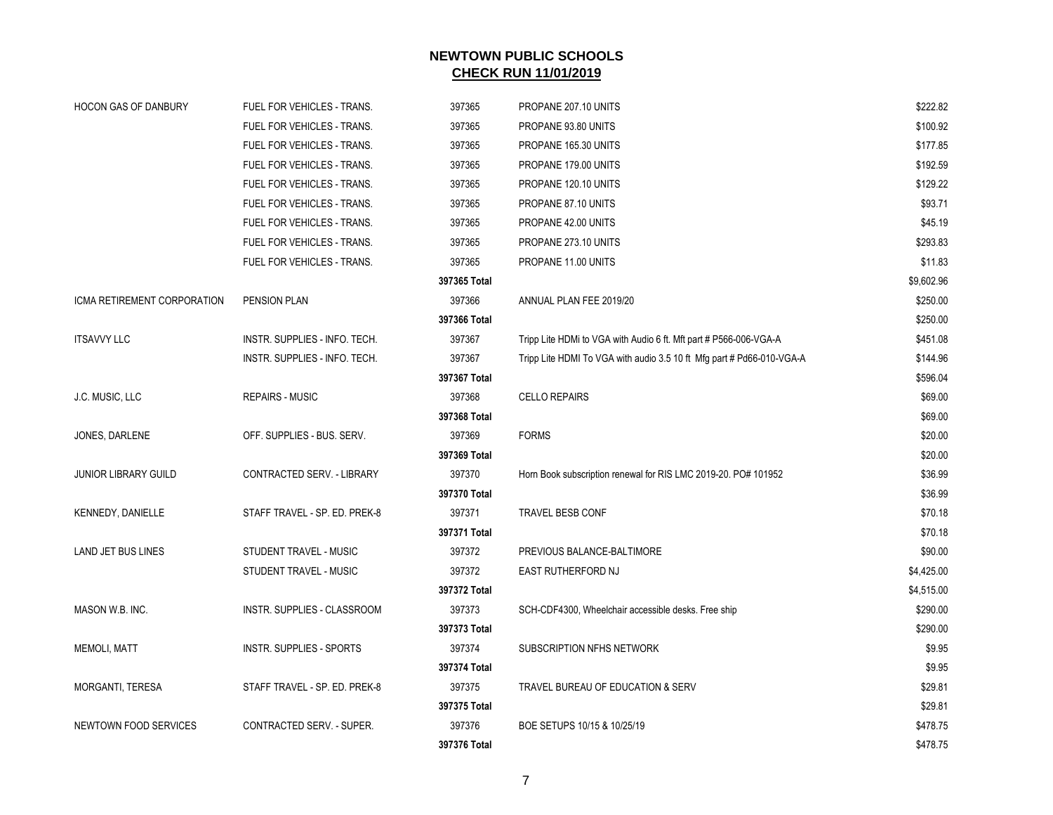| <b>HOCON GAS OF DANBURY</b> | FUEL FOR VEHICLES - TRANS.      | 397365       | PROPANE 207.10 UNITS                                                  | \$222.82   |
|-----------------------------|---------------------------------|--------------|-----------------------------------------------------------------------|------------|
|                             | FUEL FOR VEHICLES - TRANS.      | 397365       | PROPANE 93.80 UNITS                                                   | \$100.92   |
|                             | FUEL FOR VEHICLES - TRANS.      | 397365       | PROPANE 165.30 UNITS                                                  | \$177.85   |
|                             | FUEL FOR VEHICLES - TRANS.      | 397365       | PROPANE 179.00 UNITS                                                  | \$192.59   |
|                             | FUEL FOR VEHICLES - TRANS.      | 397365       | PROPANE 120.10 UNITS                                                  | \$129.22   |
|                             | FUEL FOR VEHICLES - TRANS.      | 397365       | PROPANE 87.10 UNITS                                                   | \$93.71    |
|                             | FUEL FOR VEHICLES - TRANS.      | 397365       | PROPANE 42.00 UNITS                                                   | \$45.19    |
|                             | FUEL FOR VEHICLES - TRANS.      | 397365       | PROPANE 273.10 UNITS                                                  | \$293.83   |
|                             | FUEL FOR VEHICLES - TRANS.      | 397365       | PROPANE 11.00 UNITS                                                   | \$11.83    |
|                             |                                 | 397365 Total |                                                                       | \$9,602.96 |
| ICMA RETIREMENT CORPORATION | PENSION PLAN                    | 397366       | ANNUAL PLAN FEE 2019/20                                               | \$250.00   |
|                             |                                 | 397366 Total |                                                                       | \$250.00   |
| <b>ITSAVVY LLC</b>          | INSTR. SUPPLIES - INFO. TECH.   | 397367       | Tripp Lite HDMi to VGA with Audio 6 ft. Mft part # P566-006-VGA-A     | \$451.08   |
|                             | INSTR. SUPPLIES - INFO. TECH.   | 397367       | Tripp Lite HDMI To VGA with audio 3.5 10 ft Mfg part # Pd66-010-VGA-A | \$144.96   |
|                             |                                 | 397367 Total |                                                                       | \$596.04   |
| J.C. MUSIC, LLC             | <b>REPAIRS - MUSIC</b>          | 397368       | <b>CELLO REPAIRS</b>                                                  | \$69.00    |
|                             |                                 | 397368 Total |                                                                       | \$69.00    |
| JONES, DARLENE              | OFF. SUPPLIES - BUS. SERV.      | 397369       | <b>FORMS</b>                                                          | \$20.00    |
|                             |                                 | 397369 Total |                                                                       | \$20.00    |
| <b>JUNIOR LIBRARY GUILD</b> | CONTRACTED SERV. - LIBRARY      | 397370       | Horn Book subscription renewal for RIS LMC 2019-20. PO# 101952        | \$36.99    |
|                             |                                 | 397370 Total |                                                                       | \$36.99    |
| KENNEDY, DANIELLE           | STAFF TRAVEL - SP. ED. PREK-8   | 397371       | <b>TRAVEL BESB CONF</b>                                               | \$70.18    |
|                             |                                 | 397371 Total |                                                                       | \$70.18    |
| <b>LAND JET BUS LINES</b>   | STUDENT TRAVEL - MUSIC          | 397372       | PREVIOUS BALANCE-BALTIMORE                                            | \$90.00    |
|                             | STUDENT TRAVEL - MUSIC          | 397372       | EAST RUTHERFORD NJ                                                    | \$4,425.00 |
|                             |                                 | 397372 Total |                                                                       | \$4,515.00 |
| MASON W.B. INC.             | INSTR. SUPPLIES - CLASSROOM     | 397373       | SCH-CDF4300, Wheelchair accessible desks. Free ship                   | \$290.00   |
|                             |                                 | 397373 Total |                                                                       | \$290.00   |
| <b>MEMOLI, MATT</b>         | <b>INSTR. SUPPLIES - SPORTS</b> | 397374       | SUBSCRIPTION NFHS NETWORK                                             | \$9.95     |
|                             |                                 | 397374 Total |                                                                       | \$9.95     |
| MORGANTI, TERESA            | STAFF TRAVEL - SP. ED. PREK-8   | 397375       | TRAVEL BUREAU OF EDUCATION & SERV                                     | \$29.81    |
|                             |                                 | 397375 Total |                                                                       | \$29.81    |
| NEWTOWN FOOD SERVICES       | CONTRACTED SERV. - SUPER.       | 397376       | BOE SETUPS 10/15 & 10/25/19                                           | \$478.75   |
|                             |                                 | 397376 Total |                                                                       | \$478.75   |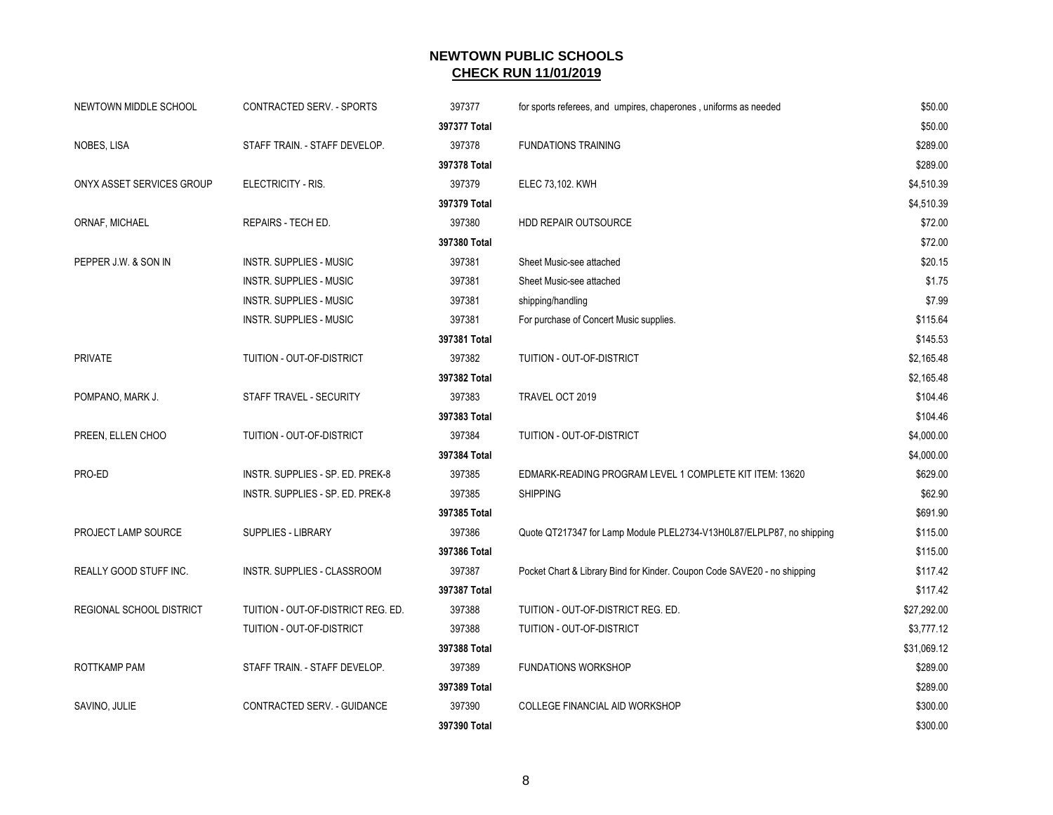| NEWTOWN MIDDLE SCHOOL     | <b>CONTRACTED SERV. - SPORTS</b>   | 397377       | for sports referees, and umpires, chaperones, uniforms as needed         | \$50.00     |
|---------------------------|------------------------------------|--------------|--------------------------------------------------------------------------|-------------|
|                           |                                    | 397377 Total |                                                                          | \$50.00     |
| NOBES, LISA               | STAFF TRAIN. - STAFF DEVELOP.      | 397378       | <b>FUNDATIONS TRAINING</b>                                               | \$289.00    |
|                           |                                    | 397378 Total |                                                                          | \$289.00    |
| ONYX ASSET SERVICES GROUP | ELECTRICITY - RIS.                 | 397379       | ELEC 73,102. KWH                                                         | \$4,510.39  |
|                           |                                    | 397379 Total |                                                                          | \$4,510.39  |
| ORNAF, MICHAEL            | REPAIRS - TECH ED.                 | 397380       | HDD REPAIR OUTSOURCE                                                     | \$72.00     |
|                           |                                    | 397380 Total |                                                                          | \$72.00     |
| PEPPER J.W. & SON IN      | INSTR. SUPPLIES - MUSIC            | 397381       | Sheet Music-see attached                                                 | \$20.15     |
|                           | <b>INSTR. SUPPLIES - MUSIC</b>     | 397381       | Sheet Music-see attached                                                 | \$1.75      |
|                           | INSTR. SUPPLIES - MUSIC            | 397381       | shipping/handling                                                        | \$7.99      |
|                           | <b>INSTR. SUPPLIES - MUSIC</b>     | 397381       | For purchase of Concert Music supplies.                                  | \$115.64    |
|                           |                                    | 397381 Total |                                                                          | \$145.53    |
| <b>PRIVATE</b>            | TUITION - OUT-OF-DISTRICT          | 397382       | TUITION - OUT-OF-DISTRICT                                                | \$2,165.48  |
|                           |                                    | 397382 Total |                                                                          | \$2,165.48  |
| POMPANO, MARK J.          | STAFF TRAVEL - SECURITY            | 397383       | TRAVEL OCT 2019                                                          | \$104.46    |
|                           |                                    | 397383 Total |                                                                          | \$104.46    |
| PREEN, ELLEN CHOO         | TUITION - OUT-OF-DISTRICT          | 397384       | TUITION - OUT-OF-DISTRICT                                                | \$4,000.00  |
|                           |                                    | 397384 Total |                                                                          | \$4,000.00  |
| PRO-ED                    | INSTR. SUPPLIES - SP. ED. PREK-8   | 397385       | EDMARK-READING PROGRAM LEVEL 1 COMPLETE KIT ITEM: 13620                  | \$629.00    |
|                           | INSTR. SUPPLIES - SP. ED. PREK-8   | 397385       | <b>SHIPPING</b>                                                          | \$62.90     |
|                           |                                    | 397385 Total |                                                                          | \$691.90    |
| PROJECT LAMP SOURCE       | <b>SUPPLIES - LIBRARY</b>          | 397386       | Quote QT217347 for Lamp Module PLEL2734-V13H0L87/ELPLP87, no shipping    | \$115.00    |
|                           |                                    | 397386 Total |                                                                          | \$115.00    |
| REALLY GOOD STUFF INC.    | INSTR. SUPPLIES - CLASSROOM        | 397387       | Pocket Chart & Library Bind for Kinder. Coupon Code SAVE20 - no shipping | \$117.42    |
|                           |                                    | 397387 Total |                                                                          | \$117.42    |
| REGIONAL SCHOOL DISTRICT  | TUITION - OUT-OF-DISTRICT REG. ED. | 397388       | TUITION - OUT-OF-DISTRICT REG. ED.                                       | \$27,292.00 |
|                           | TUITION - OUT-OF-DISTRICT          | 397388       | TUITION - OUT-OF-DISTRICT                                                | \$3,777.12  |
|                           |                                    | 397388 Total |                                                                          | \$31,069.12 |
| ROTTKAMP PAM              | STAFF TRAIN. - STAFF DEVELOP.      | 397389       | <b>FUNDATIONS WORKSHOP</b>                                               | \$289.00    |
|                           |                                    | 397389 Total |                                                                          | \$289.00    |
| SAVINO, JULIE             | CONTRACTED SERV. - GUIDANCE        | 397390       | COLLEGE FINANCIAL AID WORKSHOP                                           | \$300.00    |
|                           |                                    | 397390 Total |                                                                          | \$300.00    |